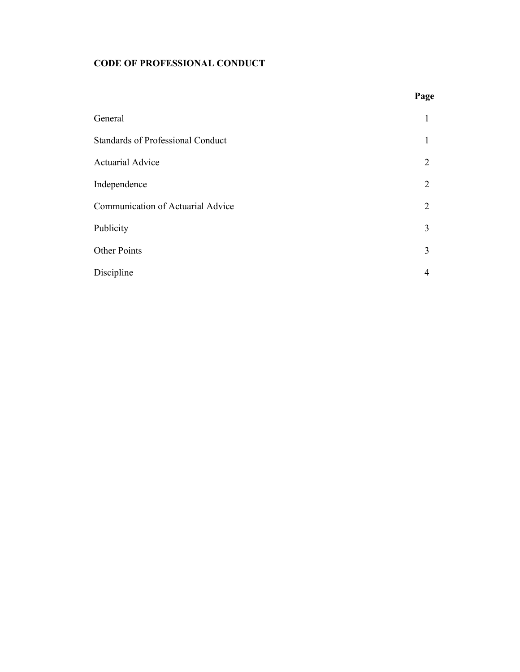# **CODE OF PROFESSIONAL CONDUCT**

|                                          | Page |
|------------------------------------------|------|
| General                                  | 1    |
| <b>Standards of Professional Conduct</b> | 1    |
| <b>Actuarial Advice</b>                  | 2    |
| Independence                             | 2    |
| Communication of Actuarial Advice        | 2    |
| Publicity                                | 3    |
| Other Points                             | 3    |
| Discipline                               | 4    |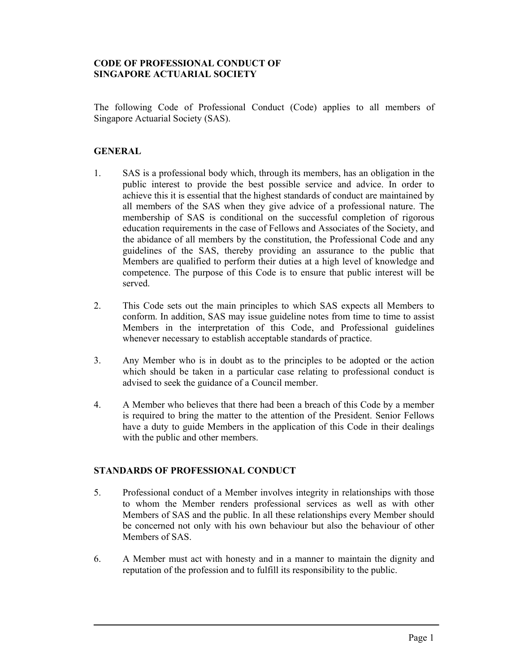## **CODE OF PROFESSIONAL CONDUCT OF SINGAPORE ACTUARIAL SOCIETY**

The following Code of Professional Conduct (Code) applies to all members of Singapore Actuarial Society (SAS).

#### **GENERAL**

 $\overline{a}$ 

- 1. SAS is a professional body which, through its members, has an obligation in the public interest to provide the best possible service and advice. In order to achieve this it is essential that the highest standards of conduct are maintained by all members of the SAS when they give advice of a professional nature. The membership of SAS is conditional on the successful completion of rigorous education requirements in the case of Fellows and Associates of the Society, and the abidance of all members by the constitution, the Professional Code and any guidelines of the SAS, thereby providing an assurance to the public that Members are qualified to perform their duties at a high level of knowledge and competence. The purpose of this Code is to ensure that public interest will be served.
- 2. This Code sets out the main principles to which SAS expects all Members to conform. In addition, SAS may issue guideline notes from time to time to assist Members in the interpretation of this Code, and Professional guidelines whenever necessary to establish acceptable standards of practice.
- 3. Any Member who is in doubt as to the principles to be adopted or the action which should be taken in a particular case relating to professional conduct is advised to seek the guidance of a Council member.
- 4. A Member who believes that there had been a breach of this Code by a member is required to bring the matter to the attention of the President. Senior Fellows have a duty to guide Members in the application of this Code in their dealings with the public and other members.

#### **STANDARDS OF PROFESSIONAL CONDUCT**

- 5. Professional conduct of a Member involves integrity in relationships with those to whom the Member renders professional services as well as with other Members of SAS and the public. In all these relationships every Member should be concerned not only with his own behaviour but also the behaviour of other Members of SAS.
- 6. A Member must act with honesty and in a manner to maintain the dignity and reputation of the profession and to fulfill its responsibility to the public.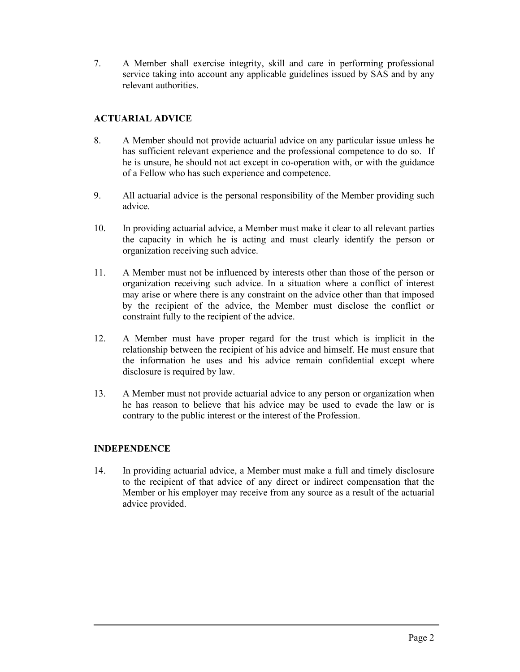7. A Member shall exercise integrity, skill and care in performing professional service taking into account any applicable guidelines issued by SAS and by any relevant authorities.

# **ACTUARIAL ADVICE**

- 8. A Member should not provide actuarial advice on any particular issue unless he has sufficient relevant experience and the professional competence to do so. If he is unsure, he should not act except in co-operation with, or with the guidance of a Fellow who has such experience and competence.
- 9. All actuarial advice is the personal responsibility of the Member providing such advice.
- 10. In providing actuarial advice, a Member must make it clear to all relevant parties the capacity in which he is acting and must clearly identify the person or organization receiving such advice.
- 11. A Member must not be influenced by interests other than those of the person or organization receiving such advice. In a situation where a conflict of interest may arise or where there is any constraint on the advice other than that imposed by the recipient of the advice, the Member must disclose the conflict or constraint fully to the recipient of the advice.
- 12. A Member must have proper regard for the trust which is implicit in the relationship between the recipient of his advice and himself. He must ensure that the information he uses and his advice remain confidential except where disclosure is required by law.
- 13. A Member must not provide actuarial advice to any person or organization when he has reason to believe that his advice may be used to evade the law or is contrary to the public interest or the interest of the Profession.

## **INDEPENDENCE**

 $\overline{a}$ 

14. In providing actuarial advice, a Member must make a full and timely disclosure to the recipient of that advice of any direct or indirect compensation that the Member or his employer may receive from any source as a result of the actuarial advice provided.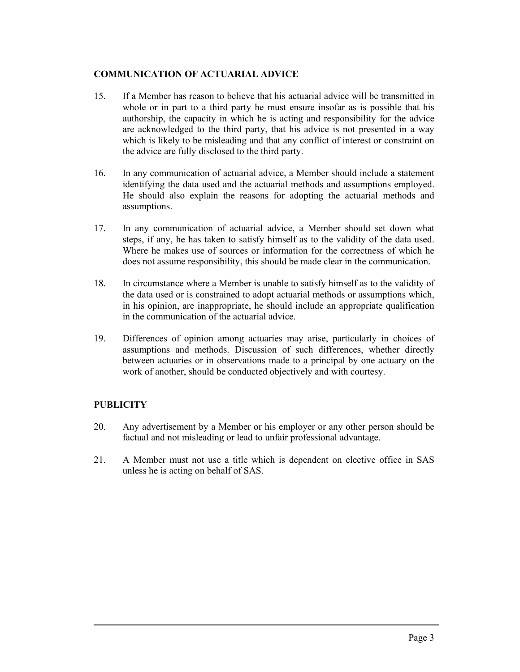## **COMMUNICATION OF ACTUARIAL ADVICE**

- 15. If a Member has reason to believe that his actuarial advice will be transmitted in whole or in part to a third party he must ensure insofar as is possible that his authorship, the capacity in which he is acting and responsibility for the advice are acknowledged to the third party, that his advice is not presented in a way which is likely to be misleading and that any conflict of interest or constraint on the advice are fully disclosed to the third party.
- 16. In any communication of actuarial advice, a Member should include a statement identifying the data used and the actuarial methods and assumptions employed. He should also explain the reasons for adopting the actuarial methods and assumptions.
- 17. In any communication of actuarial advice, a Member should set down what steps, if any, he has taken to satisfy himself as to the validity of the data used. Where he makes use of sources or information for the correctness of which he does not assume responsibility, this should be made clear in the communication.
- 18. In circumstance where a Member is unable to satisfy himself as to the validity of the data used or is constrained to adopt actuarial methods or assumptions which, in his opinion, are inappropriate, he should include an appropriate qualification in the communication of the actuarial advice.
- 19. Differences of opinion among actuaries may arise, particularly in choices of assumptions and methods. Discussion of such differences, whether directly between actuaries or in observations made to a principal by one actuary on the work of another, should be conducted objectively and with courtesy.

## **PUBLICITY**

 $\overline{a}$ 

- 20. Any advertisement by a Member or his employer or any other person should be factual and not misleading or lead to unfair professional advantage.
- 21. A Member must not use a title which is dependent on elective office in SAS unless he is acting on behalf of SAS.